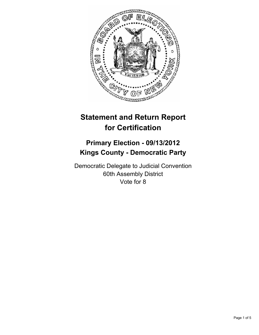

# **Statement and Return Report for Certification**

# **Primary Election - 09/13/2012 Kings County - Democratic Party**

Democratic Delegate to Judicial Convention 60th Assembly District Vote for 8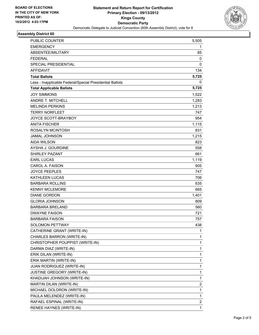

### **Assembly District 60**

| PUBLIC COUNTER                                           | 5,505 |
|----------------------------------------------------------|-------|
| <b>EMERGENCY</b>                                         | 1     |
| ABSENTEE/MILITARY                                        | 85    |
| <b>FEDERAL</b>                                           | 0     |
| SPECIAL PRESIDENTIAL                                     | 0     |
| <b>AFFIDAVIT</b>                                         | 134   |
| <b>Total Ballots</b>                                     | 5,725 |
| Less - Inapplicable Federal/Special Presidential Ballots | 0     |
| <b>Total Applicable Ballots</b>                          | 5,725 |
| <b>JOY SIMMONS</b>                                       | 1,522 |
| <b>ANDRE T. MITCHELL</b>                                 | 1,283 |
| <b>MELINDA PERKINS</b>                                   | 1,213 |
| <b>TERRY NORFLEET</b>                                    | 747   |
| <b>JOYCE SCOTT-BRAYBOY</b>                               | 954   |
| <b>ANITA FISCHER</b>                                     | 1,115 |
| ROSALYN MCINTOSH                                         | 831   |
| <b>JAMAL JOHNSON</b>                                     | 1,215 |
| <b>AIDA WILSON</b>                                       | 823   |
| AYSHA J. GOURDINE                                        | 558   |
| <b>SHIRLEY PAZANT</b>                                    | 661   |
| <b>EARL LUCAS</b>                                        | 1,119 |
| CAROL A. FAISON                                          | 905   |
| <b>JOYCE PEEPLES</b>                                     | 747   |
| <b>KATHLEEN LUCAS</b>                                    | 706   |
| <b>BARBARA ROLLINS</b>                                   | 635   |
| <b>KENNY MCLEMORE</b>                                    | 665   |
| <b>DIANE GORDON</b>                                      | 1,401 |
| <b>GLORIA JOHNSON</b>                                    | 809   |
| <b>BARBARA BRELAND</b>                                   | 560   |
| <b>DWAYNE FAISON</b>                                     | 721   |
| <b>BARBARA FAISON</b>                                    | 757   |
| SOLOMON PETTWAY                                          | 438   |
| CATHERINE GRANT (WRITE-IN)                               | 1     |
| CHARLES BARRON (WRITE-IN)                                | 1     |
| CHRISTOPHER POUPPIST (WRITE-IN)                          | 1     |
| DARMA DIAZ (WRITE-IN)                                    | 1     |
| ERIK DILAN (WRITE-IN)                                    | 1     |
| ERIK MARTIN (WRITE-IN)                                   | 1     |
| JUAN RODRIGUEZ (WRITE-IN)                                | 1     |
| JUSTINE GREGORY (WRITE-IN)                               | 1     |
| KHADIJAH JOHNSON (WRITE-IN)                              | 1     |
| MARTIN DILAN (WRITE-IN)                                  | 2     |
| MICHAEL DOLDRON (WRITE-IN)                               | 1     |
| PAULA MELENDEZ (WRITE-IN)                                | 1     |
| RAFAEL ESPINAL (WRITE-IN)                                | 2     |
| RENEE HAYNES (WRITE-IN)                                  | 1     |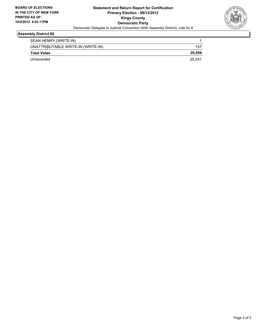

## **Assembly District 60**

| SEAN HENRY (WRITE-IN)              |        |
|------------------------------------|--------|
| UNATTRIBUTABLE WRITE-IN (WRITE-IN) | 157    |
| <b>Total Votes</b>                 | 20.559 |
| Unrecorded                         | 25.241 |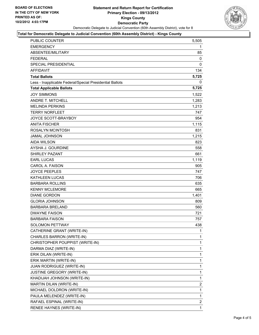

#### **Total for Democratic Delegate to Judicial Convention (60th Assembly District) - Kings County**

| PUBLIC COUNTER                                           | 5,505          |
|----------------------------------------------------------|----------------|
| <b>EMERGENCY</b>                                         | 1              |
| ABSENTEE/MILITARY                                        | 85             |
| <b>FEDERAL</b>                                           | 0              |
| <b>SPECIAL PRESIDENTIAL</b>                              | 0              |
| <b>AFFIDAVIT</b>                                         | 134            |
| <b>Total Ballots</b>                                     | 5,725          |
| Less - Inapplicable Federal/Special Presidential Ballots | 0              |
| <b>Total Applicable Ballots</b>                          | 5,725          |
| <b>JOY SIMMONS</b>                                       | 1,522          |
| <b>ANDRE T. MITCHELL</b>                                 | 1,283          |
| <b>MELINDA PERKINS</b>                                   | 1,213          |
| <b>TERRY NORFLEET</b>                                    | 747            |
| JOYCE SCOTT-BRAYBOY                                      | 954            |
| <b>ANITA FISCHER</b>                                     | 1,115          |
| ROSALYN MCINTOSH                                         | 831            |
| <b>JAMAL JOHNSON</b>                                     | 1,215          |
| <b>AIDA WILSON</b>                                       | 823            |
| AYSHA J. GOURDINE                                        | 558            |
| <b>SHIRLEY PAZANT</b>                                    | 661            |
| <b>EARL LUCAS</b>                                        | 1,119          |
| <b>CAROL A. FAISON</b>                                   | 905            |
| <b>JOYCE PEEPLES</b>                                     | 747            |
| KATHLEEN LUCAS                                           | 706            |
| <b>BARBARA ROLLINS</b>                                   | 635            |
| <b>KENNY MCLEMORE</b>                                    | 665            |
| <b>DIANE GORDON</b>                                      | 1,401          |
| <b>GLORIA JOHNSON</b>                                    | 809            |
| <b>BARBARA BRELAND</b>                                   | 560            |
| <b>DWAYNE FAISON</b>                                     | 721            |
| <b>BARBARA FAISON</b>                                    | 757            |
| <b>SOLOMON PETTWAY</b>                                   | 438            |
| CATHERINE GRANT (WRITE-IN)                               | 1              |
| CHARLES BARRON (WRITE-IN)                                | $\mathbf{1}$   |
| CHRISTOPHER POUPPIST (WRITE-IN)                          | 1              |
| DARMA DIAZ (WRITE-IN)                                    | $\mathbf{1}$   |
| ERIK DILAN (WRITE-IN)                                    | $\mathbf{1}$   |
| ERIK MARTIN (WRITE-IN)                                   | 1              |
| JUAN RODRIGUEZ (WRITE-IN)                                | 1              |
| JUSTINE GREGORY (WRITE-IN)                               | $\mathbf{1}$   |
| KHADIJAH JOHNSON (WRITE-IN)                              | 1              |
| MARTIN DILAN (WRITE-IN)                                  | $\overline{2}$ |
| MICHAEL DOLDRON (WRITE-IN)                               | 1              |
| PAULA MELENDEZ (WRITE-IN)                                | 1              |
| RAFAEL ESPINAL (WRITE-IN)                                | 2              |
| RENEE HAYNES (WRITE-IN)                                  | $\mathbf{1}$   |